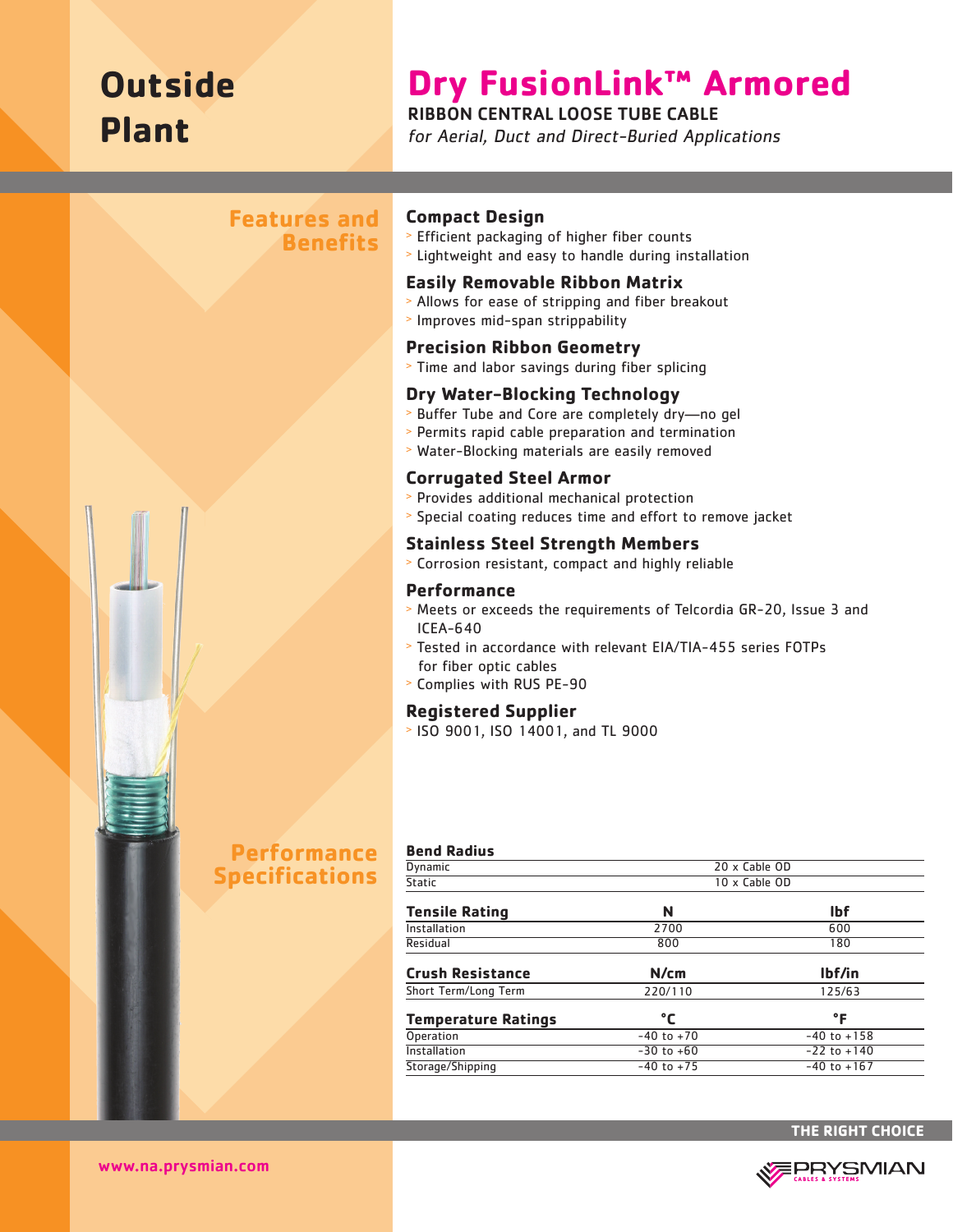## **Outside Plant**

# **Dry FusionLink™ Armored**

#### RIBBON CENTRAL LOOSE TUBE CABLE

for Aerial, Duct and Direct-Buried Applications

#### **Features and Benefits**



### **Performance Specifications**

#### **Compact Design**

- <sup>&</sup>gt; Efficient packaging of higher fiber counts
- <sup>&</sup>gt; Lightweight and easy to handle during installation

#### **Easily Removable Ribbon Matrix**

- <sup>&</sup>gt; Allows for ease of stripping and fiber breakout
- <sup>&</sup>gt; Improves mid-span strippability

#### **Precision Ribbon Geometry**

<sup>&</sup>gt; Time and labor savings during fiber splicing

#### **Dry Water-Blocking Technology**

- <sup>&</sup>gt; Buffer Tube and Core are completely dry—no gel
- <sup>&</sup>gt; Permits rapid cable preparation and termination
- <sup>&</sup>gt; Water-Blocking materials are easily removed

#### **Corrugated Steel Armor**

- <sup>&</sup>gt; Provides additional mechanical protection
- <sup>&</sup>gt; Special coating reduces time and effort to remove jacket

#### **Stainless Steel Strength Members**

<sup>&</sup>gt; Corrosion resistant, compact and highly reliable

#### **Performance**

- <sup>&</sup>gt; Meets or exceeds the requirements of Telcordia GR-20, Issue 3 and ICEA-640
- <sup>&</sup>gt; Tested in accordance with relevant EIA/TIA-455 series FOTPs for fiber optic cables
- <sup>&</sup>gt; Complies with RUS PE-90

#### **Registered Supplier**

<sup>&</sup>gt; ISO 9001, ISO 14001, and TL 9000

| <b>Bend Radius</b>         |                |                 |  |
|----------------------------|----------------|-----------------|--|
| Dynamic                    |                | 20 x Cable OD   |  |
| <b>Static</b>              | 10 x Cable OD  |                 |  |
| <b>Tensile Rating</b>      | N              | <b>Ibf</b>      |  |
| Installation               | 2700           | 600             |  |
| Residual                   | 800            | 180             |  |
| <b>Crush Resistance</b>    | N/cm           | lbf/in          |  |
| Short Term/Long Term       | 220/110        | 125/63          |  |
| <b>Temperature Ratings</b> | °C             | °F              |  |
| <b>Operation</b>           | $-40$ to $+70$ | $-40$ to $+158$ |  |
| Installation               | $-30$ to $+60$ | $-22$ to $+140$ |  |
| Storage/Shipping           | $-40$ to $+75$ | $-40$ to $+167$ |  |
|                            |                |                 |  |



www.na.prysmian.com